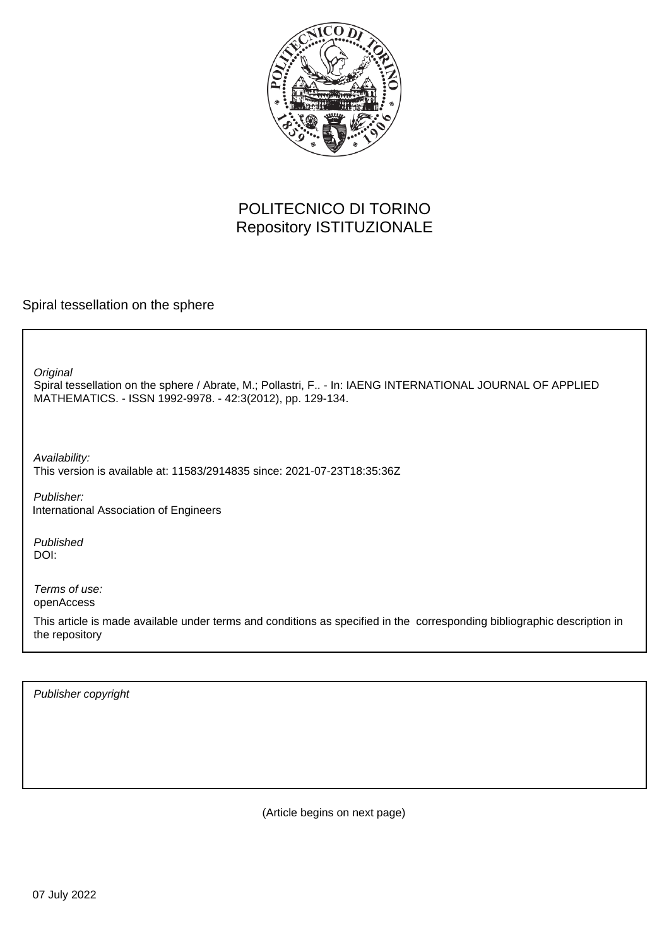

# POLITECNICO DI TORINO Repository ISTITUZIONALE

Spiral tessellation on the sphere

**Original** 

Spiral tessellation on the sphere / Abrate, M.; Pollastri, F.. - In: IAENG INTERNATIONAL JOURNAL OF APPLIED MATHEMATICS. - ISSN 1992-9978. - 42:3(2012), pp. 129-134.

Availability: This version is available at: 11583/2914835 since: 2021-07-23T18:35:36Z

Publisher: International Association of Engineers

Published DOI:

Terms of use: openAccess

This article is made available under terms and conditions as specified in the corresponding bibliographic description in the repository

Publisher copyright

(Article begins on next page)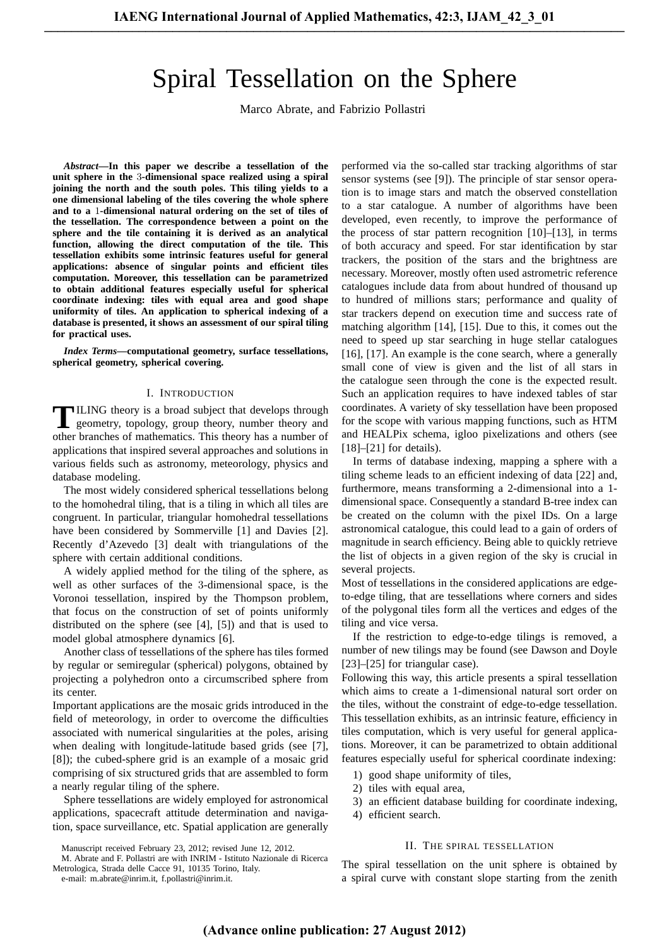# Spiral Tessellation on the Sphere

Marco Abrate, and Fabrizio Pollastri

*Abstract***—In this paper we describe a tessellation of the unit sphere in the** 3**-dimensional space realized using a spiral joining the north and the south poles. This tiling yields to a one dimensional labeling of the tiles covering the whole sphere and to a** 1**-dimensional natural ordering on the set of tiles of the tessellation. The correspondence between a point on the sphere and the tile containing it is derived as an analytical function, allowing the direct computation of the tile. This tessellation exhibits some intrinsic features useful for general applications: absence of singular points and efficient tiles computation. Moreover, this tessellation can be parametrized to obtain additional features especially useful for spherical coordinate indexing: tiles with equal area and good shape uniformity of tiles. An application to spherical indexing of a database is presented, it shows an assessment of our spiral tiling for practical uses.**

*Index Terms***—computational geometry, surface tessellations, spherical geometry, spherical covering.**

#### I. INTRODUCTION

**T** ILING theory is a broad subject that develops through geometry, topology, group theory, number theory and geometry, topology, group theory, number theory and other branches of mathematics. This theory has a number of applications that inspired several approaches and solutions in various fields such as astronomy, meteorology, physics and database modeling.

The most widely considered spherical tessellations belong to the homohedral tiling, that is a tiling in which all tiles are congruent. In particular, triangular homohedral tessellations have been considered by Sommerville [1] and Davies [2]. Recently d'Azevedo [3] dealt with triangulations of the sphere with certain additional conditions.

A widely applied method for the tiling of the sphere, as well as other surfaces of the 3-dimensional space, is the Voronoi tessellation, inspired by the Thompson problem, that focus on the construction of set of points uniformly distributed on the sphere (see [4], [5]) and that is used to model global atmosphere dynamics [6].

Another class of tessellations of the sphere has tiles formed by regular or semiregular (spherical) polygons, obtained by projecting a polyhedron onto a circumscribed sphere from its center.

Important applications are the mosaic grids introduced in the field of meteorology, in order to overcome the difficulties associated with numerical singularities at the poles, arising when dealing with longitude-latitude based grids (see [7], [8]); the cubed-sphere grid is an example of a mosaic grid comprising of six structured grids that are assembled to form a nearly regular tiling of the sphere.

Sphere tessellations are widely employed for astronomical applications, spacecraft attitude determination and navigation, space surveillance, etc. Spatial application are generally

M. Abrate and F. Pollastri are with INRIM - Istituto Nazionale di Ricerca Metrologica, Strada delle Cacce 91, 10135 Torino, Italy.

e-mail: m.abrate@inrim.it, f.pollastri@inrim.it.

performed via the so-called star tracking algorithms of star sensor systems (see [9]). The principle of star sensor operation is to image stars and match the observed constellation to a star catalogue. A number of algorithms have been developed, even recently, to improve the performance of the process of star pattern recognition [10]–[13], in terms of both accuracy and speed. For star identification by star trackers, the position of the stars and the brightness are necessary. Moreover, mostly often used astrometric reference catalogues include data from about hundred of thousand up to hundred of millions stars; performance and quality of star trackers depend on execution time and success rate of matching algorithm [14], [15]. Due to this, it comes out the need to speed up star searching in huge stellar catalogues [16], [17]. An example is the cone search, where a generally small cone of view is given and the list of all stars in the catalogue seen through the cone is the expected result. Such an application requires to have indexed tables of star coordinates. A variety of sky tessellation have been proposed for the scope with various mapping functions, such as HTM and HEALPix schema, igloo pixelizations and others (see  $[18]$ – $[21]$  for details).

In terms of database indexing, mapping a sphere with a tiling scheme leads to an efficient indexing of data [22] and, furthermore, means transforming a 2-dimensional into a 1 dimensional space. Consequently a standard B-tree index can be created on the column with the pixel IDs. On a large astronomical catalogue, this could lead to a gain of orders of magnitude in search efficiency. Being able to quickly retrieve the list of objects in a given region of the sky is crucial in several projects.

Most of tessellations in the considered applications are edgeto-edge tiling, that are tessellations where corners and sides of the polygonal tiles form all the vertices and edges of the tiling and vice versa.

If the restriction to edge-to-edge tilings is removed, a number of new tilings may be found (see Dawson and Doyle [23]–[25] for triangular case).

Following this way, this article presents a spiral tessellation which aims to create a 1-dimensional natural sort order on the tiles, without the constraint of edge-to-edge tessellation. This tessellation exhibits, as an intrinsic feature, efficiency in tiles computation, which is very useful for general applications. Moreover, it can be parametrized to obtain additional features especially useful for spherical coordinate indexing:

- 1) good shape uniformity of tiles,
- 2) tiles with equal area,
- 3) an efficient database building for coordinate indexing,
- 4) efficient search.

#### II. THE SPIRAL TESSELLATION

The spiral tessellation on the unit sphere is obtained by a spiral curve with constant slope starting from the zenith

Manuscript received February 23, 2012; revised June 12, 2012.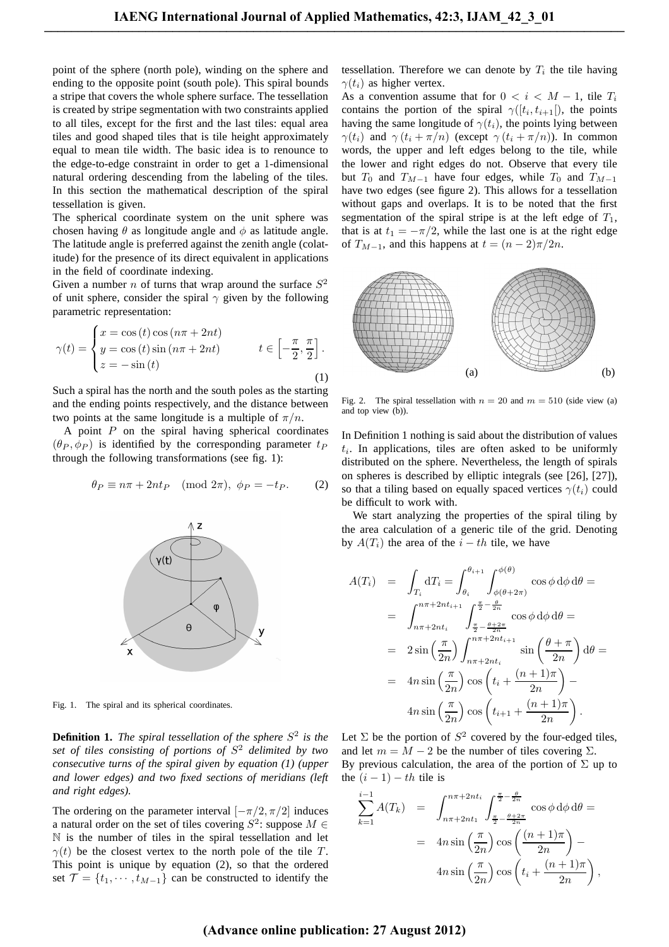point of the sphere (north pole), winding on the sphere and ending to the opposite point (south pole). This spiral bounds a stripe that covers the whole sphere surface. The tessellation is created by stripe segmentation with two constraints applied to all tiles, except for the first and the last tiles: equal area tiles and good shaped tiles that is tile height approximately equal to mean tile width. The basic idea is to renounce to the edge-to-edge constraint in order to get a 1-dimensional natural ordering descending from the labeling of the tiles. In this section the mathematical description of the spiral tessellation is given.

The spherical coordinate system on the unit sphere was chosen having  $\theta$  as longitude angle and  $\phi$  as latitude angle. The latitude angle is preferred against the zenith angle (colatitude) for the presence of its direct equivalent in applications in the field of coordinate indexing.

Given a number *n* of turns that wrap around the surface  $S^2$ of unit sphere, consider the spiral  $\gamma$  given by the following parametric representation:

$$
\gamma(t) = \begin{cases} x = \cos(t)\cos(n\pi + 2nt) \\ y = \cos(t)\sin(n\pi + 2nt) \\ z = -\sin(t) \end{cases} \qquad t \in \left[-\frac{\pi}{2}, \frac{\pi}{2}\right].
$$
 (1)

Such a spiral has the north and the south poles as the starting and the ending points respectively, and the distance between two points at the same longitude is a multiple of  $\pi/n$ .

A point  $P$  on the spiral having spherical coordinates  $(\theta_P, \phi_P)$  is identified by the corresponding parameter  $t_P$ through the following transformations (see fig. 1):

$$
\theta_P \equiv n\pi + 2nt_P \pmod{2\pi}, \ \phi_P = -t_P. \tag{2}
$$



Fig. 1. The spiral and its spherical coordinates.

**Definition 1.** The spiral tessellation of the sphere  $S^2$  is the *set of tiles consisting of portions of* S <sup>2</sup> *delimited by two consecutive turns of the spiral given by equation (1) (upper and lower edges) and two fixed sections of meridians (left and right edges).*

The ordering on the parameter interval  $[-\pi/2, \pi/2]$  induces a natural order on the set of tiles covering  $S^2$ : suppose  $M \in$ N is the number of tiles in the spiral tessellation and let  $\gamma(t)$  be the closest vertex to the north pole of the tile T. This point is unique by equation (2), so that the ordered set  $\mathcal{T} = \{t_1, \dots, t_{M-1}\}\)$  can be constructed to identify the

tessellation. Therefore we can denote by  $T_i$  the tile having  $\gamma(t_i)$  as higher vertex.

As a convention assume that for  $0 < i < M - 1$ , tile  $T_i$ contains the portion of the spiral  $\gamma([t_i, t_{i+1}])$ , the points having the same longitude of  $\gamma(t_i)$ , the points lying between  $\gamma(t_i)$  and  $\gamma(t_i + \pi/n)$  (except  $\gamma(t_i + \pi/n)$ ). In common words, the upper and left edges belong to the tile, while the lower and right edges do not. Observe that every tile but  $T_0$  and  $T_{M-1}$  have four edges, while  $T_0$  and  $T_{M-1}$ have two edges (see figure 2). This allows for a tessellation without gaps and overlaps. It is to be noted that the first segmentation of the spiral stripe is at the left edge of  $T_1$ , that is at  $t_1 = -\pi/2$ , while the last one is at the right edge of  $T_{M-1}$ , and this happens at  $t = (n-2)\pi/2n$ .



Fig. 2. The spiral tessellation with  $n = 20$  and  $m = 510$  (side view (a) and top view (b)).

In Definition 1 nothing is said about the distribution of values  $t_i$ . In applications, tiles are often asked to be uniformly distributed on the sphere. Nevertheless, the length of spirals on spheres is described by elliptic integrals (see [26], [27]), so that a tiling based on equally spaced vertices  $\gamma(t_i)$  could be difficult to work with.

We start analyzing the properties of the spiral tiling by the area calculation of a generic tile of the grid. Denoting by  $A(T_i)$  the area of the  $i - th$  tile, we have

$$
A(T_i) = \int_{T_i} dT_i = \int_{\theta_i}^{\theta_{i+1}} \int_{\phi(\theta+2\pi)}^{\phi(\theta)} \cos \phi \,d\phi \,d\theta =
$$
  
\n
$$
= \int_{n\pi+2nt_i}^{n\pi+2nt_{i+1}} \int_{\frac{\pi}{2} - \frac{\theta}{2n}}^{\frac{\pi}{2} - \frac{\theta}{2n}} \cos \phi \,d\phi \,d\theta =
$$
  
\n
$$
= 2 \sin \left(\frac{\pi}{2n}\right) \int_{n\pi+2nt_i}^{n\pi+2nt_{i+1}} \sin \left(\frac{\theta+\pi}{2n}\right) \,d\theta =
$$
  
\n
$$
= 4n \sin \left(\frac{\pi}{2n}\right) \cos \left(t_i + \frac{(n+1)\pi}{2n}\right) -
$$
  
\n
$$
4n \sin \left(\frac{\pi}{2n}\right) \cos \left(t_{i+1} + \frac{(n+1)\pi}{2n}\right).
$$

Let  $\Sigma$  be the portion of  $S^2$  covered by the four-edged tiles, and let  $m = M - 2$  be the number of tiles covering  $\Sigma$ . By previous calculation, the area of the portion of  $\Sigma$  up to the  $(i - 1) - th$  tile is

$$
\sum_{k=1}^{i-1} A(T_k) = \int_{n\pi + 2nt_1}^{n\pi + 2nt_i} \int_{\frac{\pi}{2} - \frac{\theta + 2\pi}{2n}}^{\frac{\pi}{2} - \frac{\theta}{2n}} \cos \phi \,d\phi \,d\theta =
$$

$$
= 4n \sin \left(\frac{\pi}{2n}\right) \cos \left(\frac{(n+1)\pi}{2n}\right) -
$$

$$
4n \sin \left(\frac{\pi}{2n}\right) \cos \left(t_i + \frac{(n+1)\pi}{2n}\right),
$$

# **(Advance online publication: 27 August 2012)**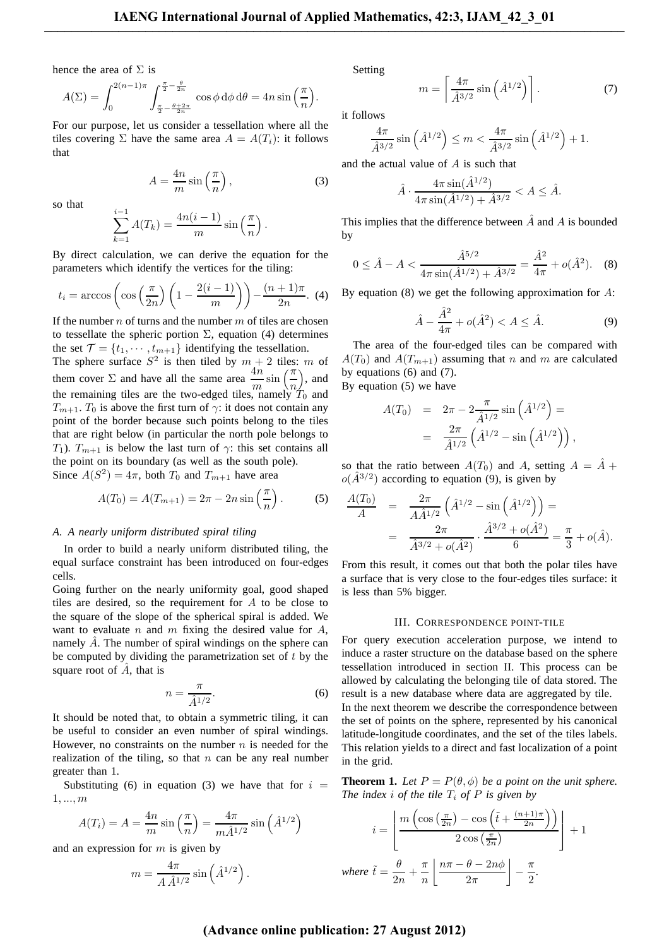hence the area of  $\Sigma$  is

$$
A(\Sigma) = \int_0^{2(n-1)\pi} \int_{\frac{\pi}{2} - \frac{\theta + 2\pi}{2n}}^{\frac{\pi}{2} - \frac{\theta}{2n}} \cos \phi \, d\phi \, d\theta = 4n \sin\left(\frac{\pi}{n}\right).
$$

For our purpose, let us consider a tessellation where all the tiles covering  $\Sigma$  have the same area  $A = A(T_i)$ : it follows that

$$
A = \frac{4n}{m} \sin\left(\frac{\pi}{n}\right),\tag{3}
$$

so that

$$
\sum_{k=1}^{i-1} A(T_k) = \frac{4n(i-1)}{m} \sin\left(\frac{\pi}{n}\right).
$$

By direct calculation, we can derive the equation for the parameters which identify the vertices for the tiling:

$$
t_i = \arccos\left(\cos\left(\frac{\pi}{2n}\right)\left(1 - \frac{2(i-1)}{m}\right)\right) - \frac{(n+1)\pi}{2n}.
$$
 (4)

If the number  $n$  of turns and the number  $m$  of tiles are chosen to tessellate the spheric portion  $\Sigma$ , equation (4) determines the set  $\mathcal{T} = \{t_1, \dots, t_{m+1}\}\$ identifying the tessellation.

The sphere surface  $S^2$  is then tiled by  $m + 2$  tiles: m of them cover  $\Sigma$  and have all the same area  $\frac{4n}{m} \sin\left(\frac{\pi}{n}\right)$  $\big)$ , and the remaining tiles are the two-edged tiles, namely  $T_0$  and  $T_{m+1}$ .  $T_0$  is above the first turn of  $\gamma$ : it does not contain any point of the border because such points belong to the tiles that are right below (in particular the north pole belongs to T<sub>1</sub>).  $T_{m+1}$  is below the last turn of  $\gamma$ : this set contains all the point on its boundary (as well as the south pole). Since  $A(S^2) = 4\pi$ , both  $T_0$  and  $T_{m+1}$  have area

$$
A(T_0) = A(T_{m+1}) = 2\pi - 2n\sin\left(\frac{\pi}{n}\right).
$$
 (5)

#### *A. A nearly uniform distributed spiral tiling*

In order to build a nearly uniform distributed tiling, the equal surface constraint has been introduced on four-edges cells.

Going further on the nearly uniformity goal, good shaped tiles are desired, so the requirement for A to be close to the square of the slope of the spherical spiral is added. We want to evaluate n and m fixing the desired value for  $A$ , namely  $\ddot{A}$ . The number of spiral windings on the sphere can be computed by dividing the parametrization set of  $t$  by the square root of  $\ddot{A}$ , that is

$$
n = \frac{\pi}{\hat{A}^{1/2}}.\tag{6}
$$

It should be noted that, to obtain a symmetric tiling, it can be useful to consider an even number of spiral windings. However, no constraints on the number  $n$  is needed for the realization of the tiling, so that  $n$  can be any real number greater than 1.

Substituting (6) in equation (3) we have that for  $i =$ 1, ..., m

$$
A(T_i) = A = \frac{4n}{m} \sin\left(\frac{\pi}{n}\right) = \frac{4\pi}{m\hat{A}^{1/2}} \sin\left(\hat{A}^{1/2}\right)
$$

and an expression for  $m$  is given by

$$
m = \frac{4\pi}{A\,\hat{A}^{1/2}}\sin\left(\hat{A}^{1/2}\right).
$$

Setting

$$
m = \left[\frac{4\pi}{\hat{A}^{3/2}}\sin\left(\hat{A}^{1/2}\right)\right].\tag{7}
$$

it follows

$$
\frac{4\pi}{\hat{A}^{3/2}}\sin\left(\hat{A}^{1/2}\right) \le m < \frac{4\pi}{\hat{A}^{3/2}}\sin\left(\hat{A}^{1/2}\right) + 1.
$$

and the actual value of  $A$  is such that

$$
\hat{A} \cdot \frac{4\pi \sin(\hat{A}^{1/2})}{4\pi \sin(\hat{A}^{1/2}) + \hat{A}^{3/2}} < A \leq \hat{A}.
$$

This implies that the difference between  $\ddot{A}$  and  $A$  is bounded by

$$
0 \le \hat{A} - A < \frac{\hat{A}^{5/2}}{4\pi \sin(\hat{A}^{1/2}) + \hat{A}^{3/2}} = \frac{\hat{A}^2}{4\pi} + o(\hat{A}^2). \tag{8}
$$

By equation  $(8)$  we get the following approximation for A:

$$
\hat{A} - \frac{\hat{A}^2}{4\pi} + o(\hat{A}^2) < A \le \hat{A}.\tag{9}
$$

The area of the four-edged tiles can be compared with  $A(T_0)$  and  $A(T_{m+1})$  assuming that n and m are calculated by equations (6) and (7).

By equation (5) we have

$$
A(T_0) = 2\pi - 2\frac{\pi}{\hat{A}^{1/2}}\sin\left(\hat{A}^{1/2}\right) =
$$
  
=  $\frac{2\pi}{\hat{A}^{1/2}}\left(\hat{A}^{1/2} - \sin\left(\hat{A}^{1/2}\right)\right),$ 

so that the ratio between  $A(T_0)$  and A, setting  $A = \hat{A} +$  $o(\hat{A}^{3/2})$  according to equation (9), is given by

$$
\frac{A(T_0)}{A} = \frac{2\pi}{A\hat{A}^{1/2}} \left(\hat{A}^{1/2} - \sin\left(\hat{A}^{1/2}\right)\right) =
$$

$$
= \frac{2\pi}{\hat{A}^{3/2} + o(\hat{A}^2)} \cdot \frac{\hat{A}^{3/2} + o(\hat{A}^2)}{6} = \frac{\pi}{3} + o(\hat{A}).
$$

From this result, it comes out that both the polar tiles have a surface that is very close to the four-edges tiles surface: it is less than 5% bigger.

## III. CORRESPONDENCE POINT-TILE

For query execution acceleration purpose, we intend to induce a raster structure on the database based on the sphere tessellation introduced in section II. This process can be allowed by calculating the belonging tile of data stored. The result is a new database where data are aggregated by tile. In the next theorem we describe the correspondence between the set of points on the sphere, represented by his canonical latitude-longitude coordinates, and the set of the tiles labels. This relation yields to a direct and fast localization of a point in the grid.

**Theorem 1.** *Let*  $P = P(\theta, \phi)$  *be a point on the unit sphere. The index i of the tile*  $T_i$  *of*  $P$  *is given by* 

$$
i = \left\lfloor \frac{m\left(\cos\left(\frac{\pi}{2n}\right) - \cos\left(\tilde{t} + \frac{(n+1)\pi}{2n}\right)\right)}{2\cos\left(\frac{\pi}{2n}\right)}\right\rfloor + 1
$$
  
where  $\tilde{t} = \frac{\theta}{2n} + \frac{\pi}{n} \left\lfloor \frac{n\pi - \theta - 2n\phi}{2\pi} \right\rfloor - \frac{\pi}{2}$ .

# **(Advance online publication: 27 August 2012)**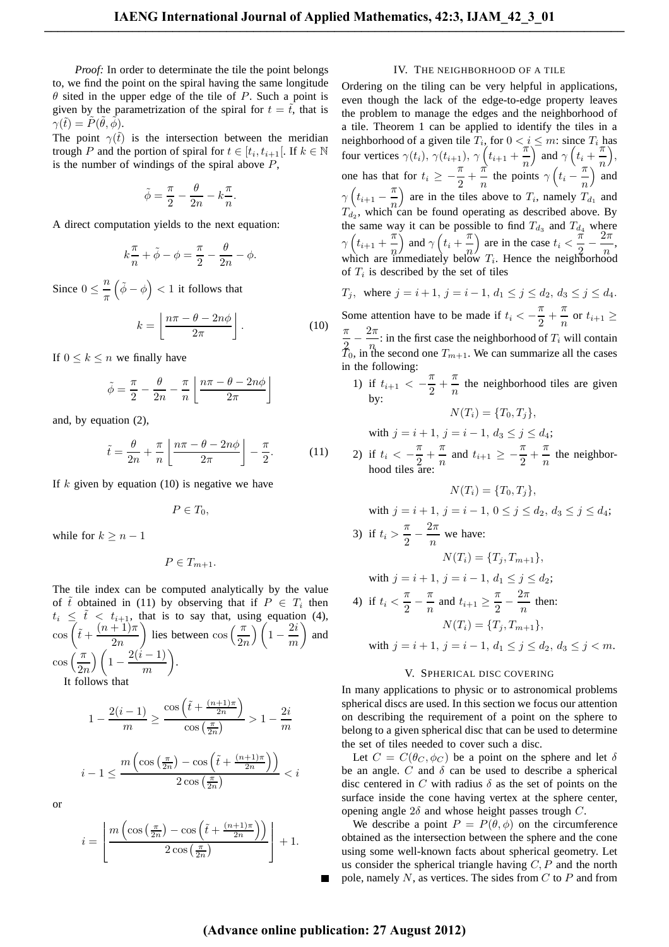*Proof:* In order to determinate the tile the point belongs to, we find the point on the spiral having the same longitude  $\theta$  sited in the upper edge of the tile of P. Such a point is given by the parametrization of the spiral for  $t = \tilde{t}$ , that is  $\gamma(\tilde t)=\tilde P(\tilde\theta,\tilde\phi).$ 

The point  $\gamma(\tilde{t})$  is the intersection between the meridian trough P and the portion of spiral for  $t \in [t_i, t_{i+1}]$ . If  $k \in \mathbb{N}$ is the number of windings of the spiral above  $P$ ,

$$
\tilde{\phi} = \frac{\pi}{2} - \frac{\theta}{2n} - k\frac{\pi}{n}.
$$

A direct computation yields to the next equation:

$$
k\frac{\pi}{n} + \tilde{\phi} - \phi = \frac{\pi}{2} - \frac{\theta}{2n} - \phi.
$$

Since  $0 \leq \frac{n}{n}$ π  $(\tilde{\phi} - \phi) < 1$  it follows that

$$
k = \left\lfloor \frac{n\pi - \theta - 2n\phi}{2\pi} \right\rfloor.
$$
 (10)

If  $0 \leq k \leq n$  we finally have

$$
\tilde{\phi} = \frac{\pi}{2} - \frac{\theta}{2n} - \frac{\pi}{n} \left\lfloor \frac{n\pi - \theta - 2n\phi}{2\pi} \right\rfloor
$$

and, by equation (2),

$$
\tilde{t} = \frac{\theta}{2n} + \frac{\pi}{n} \left\lfloor \frac{n\pi - \theta - 2n\phi}{2\pi} \right\rfloor - \frac{\pi}{2}.
$$
 (11)

If  $k$  given by equation (10) is negative we have

$$
P\in T_0,
$$

while for  $k > n - 1$ 

$$
P\in T_{m+1}.
$$

The tile index can be computed analytically by the value of  $\tilde{t}$  obtained in (11) by observing that if  $P \in T_i$  then  $t_i \leq \tilde{t} < t_{i+1}$ , that is to say that, using equation (4),  $\cos\left(\tilde{t}+\frac{(n+1)\pi}{2}\right)$  $2n$ ) lies between  $\cos\left(\frac{\pi}{2n}\right)$  $\Big) \Big( 1 - \frac{2i}{n} \Big)$ m  $\setminus$ and  $\cos\left(\frac{\pi}{2n}\right)$  $\bigg) \bigg( 1 - \frac{2(i-1)}{2} \bigg)$ m . It follows that

$$
1 - \frac{2(i-1)}{m} \ge \frac{\cos\left(\tilde{t} + \frac{(n+1)\pi}{2n}\right)}{\cos\left(\frac{\pi}{2n}\right)} > 1 - \frac{2i}{m}
$$

$$
i-1 \le \frac{m\left(\cos\left(\frac{\pi}{2n}\right) - \cos\left(\tilde{t} + \frac{(n+1)\pi}{2n}\right)\right)}{2\cos\left(\frac{\pi}{2n}\right)} < i
$$

or

$$
i = \left\lfloor \frac{m\left(\cos\left(\frac{\pi}{2n}\right) - \cos\left(\tilde{t} + \frac{(n+1)\pi}{2n}\right)\right)}{2\cos\left(\frac{\pi}{2n}\right)}\right\rfloor + 1.
$$

## IV. THE NEIGHBORHOOD OF A TILE

Ordering on the tiling can be very helpful in applications, even though the lack of the edge-to-edge property leaves the problem to manage the edges and the neighborhood of a tile. Theorem 1 can be applied to identify the tiles in a neighborhood of a given tile  $T_i$ , for  $0 < i \leq m$ : since  $T_i$  has four vertices  $\gamma(t_i)$ ,  $\gamma(t_{i+1})$ ,  $\gamma(t_{i+1} + \frac{\pi}{n})$ n  $\int$  and  $\gamma$   $\left(t_i + \frac{\pi}{n}\right)$ n , one has that for  $t_i \geq -\frac{\pi}{2}$  $\frac{\pi}{2} + \frac{\pi}{n}$  $\frac{\pi}{n}$  the points  $\gamma$   $\left(t_i - \frac{\pi}{n}\right)$ n ) and  $\gamma\left(t_{i+1}-\frac{\pi}{n}\right)$ n ) are in the tiles above to  $T_i$ , namely  $T_{d_1}$  and  $T_{d_2}$ , which can be found operating as described above. By the same way it can be possible to find  $T_{d_3}$  and  $T_{d_4}$  where  $\gamma\left(t_{i+1}+\frac{\pi}{n}\right)$ n ) and  $\gamma \left(t_i + \frac{\pi}{n}\right)$ n ) are in the case  $t_i < \frac{\pi}{2}$  $\frac{\pi}{2} - \frac{2\pi}{n}$  $\frac{n}{n}$ , which are immediately below  $T_i$ . Hence the neighborhood of  $T_i$  is described by the set of tiles

 $T_j$ , where  $j = i + 1$ ,  $j = i - 1$ ,  $d_1 \le j \le d_2$ ,  $d_3 \le j \le d_4$ . Some attention have to be made if  $t_i < -\frac{\pi}{2}$  $\frac{\pi}{2} + \frac{\pi}{n}$  $\frac{n}{n}$  or  $t_{i+1} \geq$ π  $\frac{\pi}{2} - \frac{2\pi}{n}$  $\frac{n}{n}$ : in the first case the neighborhood of  $T_i$  will contain  $\bar{T}_0$ , in the second one  $T_{m+1}$ . We can summarize all the cases in the following:

1) if  $t_{i+1} < -\frac{\pi}{2}$  $\frac{\pi}{2} + \frac{\pi}{n}$  $\frac{n}{n}$  the neighborhood tiles are given by:  $N(T_i) = \{T_0, T_i\},\$ 

with  $j = i + 1$ ,  $j = i - 1$ ,  $d_3 \le j \le d_4$ ; 2) if  $t_i < -\frac{\pi}{2}$  $\frac{\pi}{2} + \frac{\pi}{n}$  $\frac{\pi}{n}$  and  $t_{i+1} \geq -\frac{\pi}{2}$  $\frac{\pi}{2} + \frac{\pi}{n}$  $\frac{n}{n}$  the neighborhood tiles are:

$$
N(T_i) = \{T_0, T_j\},\
$$

with 
$$
j = i + 1
$$
,  $j = i - 1$ ,  $0 \le j \le d_2$ ,  $d_3 \le j \le d_4$ ;  
\n3) if  $t_i > \frac{\pi}{2} - \frac{2\pi}{n}$  we have:  
\n $N(T_i) = \{T_j, T_{m+1}\},$   
\nwith  $j = i + 1$ ,  $j = i - 1$ ,  $d_1 \le j \le d_2$ ;  
\n4) if  $t_i < \frac{\pi}{2} - \frac{\pi}{n}$  and  $t_{i+1} \ge \frac{\pi}{2} - \frac{2\pi}{n}$  then:  
\n $N(T_i) = \{T_j, T_{m+1}\},$ 

with  $j = i + 1$ ,  $j = i - 1$ ,  $d_1 \le j \le d_2$ ,  $d_3 \le j < m$ .

# V. SPHERICAL DISC COVERING

In many applications to physic or to astronomical problems spherical discs are used. In this section we focus our attention on describing the requirement of a point on the sphere to belong to a given spherical disc that can be used to determine the set of tiles needed to cover such a disc.

Let  $C = C(\theta_C, \phi_C)$  be a point on the sphere and let  $\delta$ be an angle.  $C$  and  $\delta$  can be used to describe a spherical disc centered in C with radius  $\delta$  as the set of points on the surface inside the cone having vertex at the sphere center, opening angle  $2\delta$  and whose height passes trough C.

We describe a point  $P = P(\theta, \phi)$  on the circumference obtained as the intersection between the sphere and the cone using some well-known facts about spherical geometry. Let us consider the spherical triangle having  $C, P$  and the north pole, namely  $N$ , as vertices. The sides from  $C$  to  $P$  and from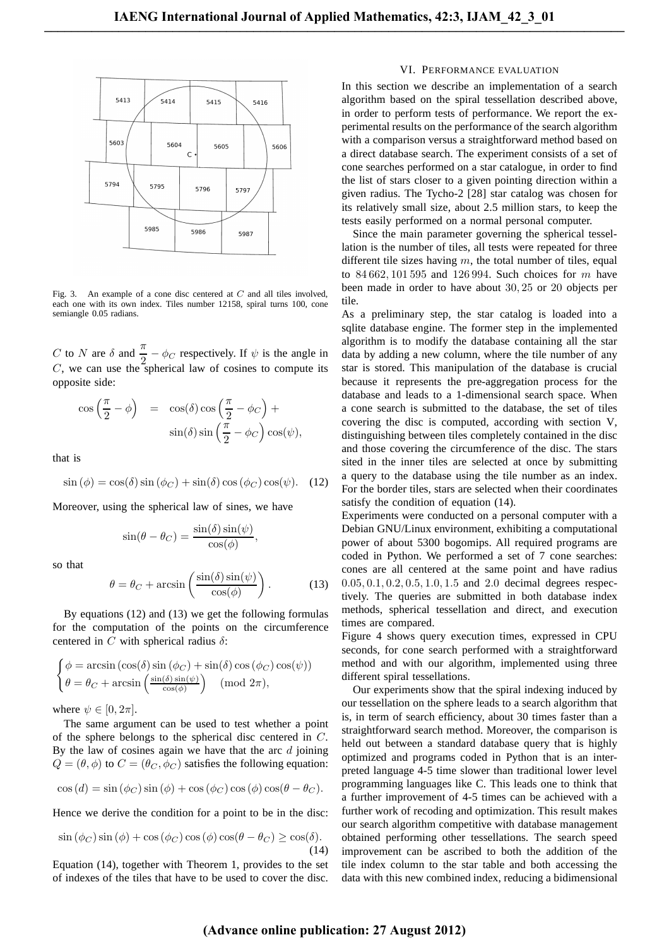

Fig. 3. An example of a cone disc centered at  $C$  and all tiles involved, each one with its own index. Tiles number 12158, spiral turns 100, cone semiangle 0.05 radians.

C to N are  $\delta$  and  $\frac{\pi}{2} - \phi_C$  respectively. If  $\psi$  is the angle in  $C$ , we can use the spherical law of cosines to compute its opposite side:

$$
\cos\left(\frac{\pi}{2} - \phi\right) = \cos(\delta)\cos\left(\frac{\pi}{2} - \phi_C\right) +
$$
  
 
$$
\sin(\delta)\sin\left(\frac{\pi}{2} - \phi_C\right)\cos(\psi),
$$

that is

$$
\sin(\phi) = \cos(\delta)\sin(\phi_C) + \sin(\delta)\cos(\phi_C)\cos(\psi). \quad (12)
$$

Moreover, using the spherical law of sines, we have

$$
\sin(\theta - \theta_C) = \frac{\sin(\delta)\sin(\psi)}{\cos(\phi)},
$$

so that

$$
\theta = \theta_C + \arcsin\left(\frac{\sin(\delta)\sin(\psi)}{\cos(\phi)}\right). \tag{13}
$$

By equations (12) and (13) we get the following formulas for the computation of the points on the circumference centered in C with spherical radius  $\delta$ :

$$
\begin{cases}\n\phi = \arcsin(\cos(\delta)\sin(\phi_C) + \sin(\delta)\cos(\phi_C)\cos(\psi)) \\
\theta = \theta_C + \arcsin\left(\frac{\sin(\delta)\sin(\psi)}{\cos(\phi)}\right) \pmod{2\pi},\n\end{cases}
$$

where  $\psi \in [0, 2\pi]$ .

The same argument can be used to test whether a point of the sphere belongs to the spherical disc centered in C. By the law of cosines again we have that the arc  $d$  joining  $Q = (\theta, \phi)$  to  $C = (\theta_C, \phi_C)$  satisfies the following equation:

$$
\cos(d) = \sin(\phi_C)\sin(\phi) + \cos(\phi_C)\cos(\phi)\cos(\theta - \theta_C).
$$

Hence we derive the condition for a point to be in the disc:

$$
\sin(\phi_C)\sin(\phi) + \cos(\phi_C)\cos(\phi)\cos(\theta - \theta_C) \ge \cos(\delta). \tag{14}
$$

Equation (14), together with Theorem 1, provides to the set of indexes of the tiles that have to be used to cover the disc.

# VI. PERFORMANCE EVALUATION

In this section we describe an implementation of a search algorithm based on the spiral tessellation described above, in order to perform tests of performance. We report the experimental results on the performance of the search algorithm with a comparison versus a straightforward method based on a direct database search. The experiment consists of a set of cone searches performed on a star catalogue, in order to find the list of stars closer to a given pointing direction within a given radius. The Tycho-2 [28] star catalog was chosen for its relatively small size, about 2.5 million stars, to keep the tests easily performed on a normal personal computer.

Since the main parameter governing the spherical tessellation is the number of tiles, all tests were repeated for three different tile sizes having  $m$ , the total number of tiles, equal to  $84,662,101,595$  and 126 994. Such choices for m have been made in order to have about 30, 25 or 20 objects per tile.

As a preliminary step, the star catalog is loaded into a sqlite database engine. The former step in the implemented algorithm is to modify the database containing all the star data by adding a new column, where the tile number of any star is stored. This manipulation of the database is crucial because it represents the pre-aggregation process for the database and leads to a 1-dimensional search space. When a cone search is submitted to the database, the set of tiles covering the disc is computed, according with section V, distinguishing between tiles completely contained in the disc and those covering the circumference of the disc. The stars sited in the inner tiles are selected at once by submitting a query to the database using the tile number as an index. For the border tiles, stars are selected when their coordinates satisfy the condition of equation (14).

Experiments were conducted on a personal computer with a Debian GNU/Linux environment, exhibiting a computational power of about 5300 bogomips. All required programs are coded in Python. We performed a set of 7 cone searches: cones are all centered at the same point and have radius 0.05, 0.1, 0.2, 0.5, 1.0, 1.5 and 2.0 decimal degrees respectively. The queries are submitted in both database index methods, spherical tessellation and direct, and execution times are compared.

Figure 4 shows query execution times, expressed in CPU seconds, for cone search performed with a straightforward method and with our algorithm, implemented using three different spiral tessellations.

Our experiments show that the spiral indexing induced by our tessellation on the sphere leads to a search algorithm that is, in term of search efficiency, about 30 times faster than a straightforward search method. Moreover, the comparison is held out between a standard database query that is highly optimized and programs coded in Python that is an interpreted language 4-5 time slower than traditional lower level programming languages like C. This leads one to think that a further improvement of 4-5 times can be achieved with a further work of recoding and optimization. This result makes our search algorithm competitive with database management obtained performing other tessellations. The search speed improvement can be ascribed to both the addition of the tile index column to the star table and both accessing the data with this new combined index, reducing a bidimensional

# **(Advance online publication: 27 August 2012)**